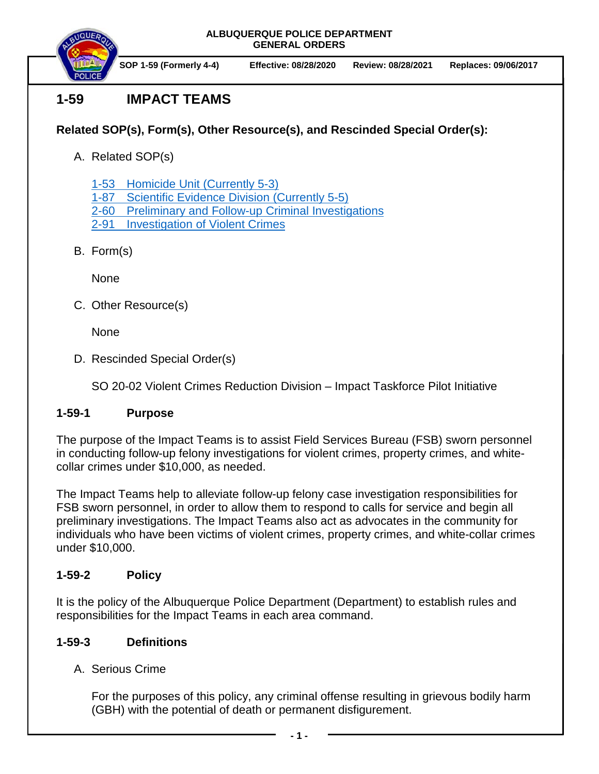**ALBUQUERQUE POLICE DEPARTMENT GENERAL ORDERS**



**SOP 1-59 (Formerly 4-4) Effective: 08/28/2020 Review: 08/28/2021 Replaces: 09/06/2017**

# **1-59 IMPACT TEAMS**

### **Related SOP(s), Form(s), Other Resource(s), and Rescinded Special Order(s):**

A. Related SOP(s)

1-53 Homicide Unit [\(Currently 5-3\)](https://powerdms.com/docs/147?q=5-3)

- 1-87 [Scientific Evidence Division](https://powerdms.com/docs/398859?q=5-5%20sc) (Currently 5-5)
- 2-60 [Preliminary and Follow-up Criminal Investigations](https://powerdms.com/docs/107?q=2-60)
- 2-91 [Investigation of Violent Crimes](https://powerdms.com/docs/111?q=2-91)
- B. Form(s)

None

C. Other Resource(s)

None

D. Rescinded Special Order(s)

SO 20-02 Violent Crimes Reduction Division – Impact Taskforce Pilot Initiative

#### **1-59-1 Purpose**

The purpose of the Impact Teams is to assist Field Services Bureau (FSB) sworn personnel in conducting follow-up felony investigations for violent crimes, property crimes, and whitecollar crimes under \$10,000, as needed.

The Impact Teams help to alleviate follow-up felony case investigation responsibilities for FSB sworn personnel, in order to allow them to respond to calls for service and begin all preliminary investigations. The Impact Teams also act as advocates in the community for individuals who have been victims of violent crimes, property crimes, and white-collar crimes under \$10,000.

## **1-59-2 Policy**

It is the policy of the Albuquerque Police Department (Department) to establish rules and responsibilities for the Impact Teams in each area command.

## **1-59-3 Definitions**

A. Serious Crime

For the purposes of this policy, any criminal offense resulting in grievous bodily harm (GBH) with the potential of death or permanent disfigurement.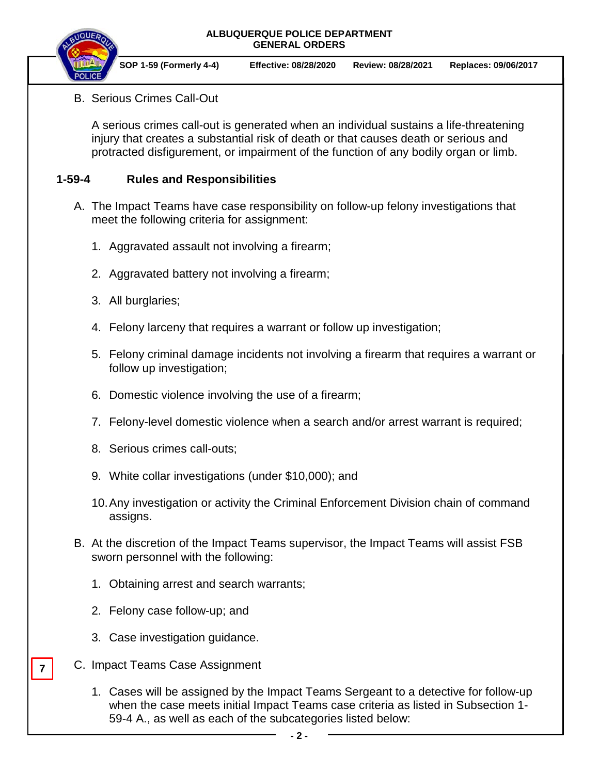#### **ALBUQUERQUE POLICE DEPARTMENT GENERAL ORDERS**



**SOP 1-59 (Formerly 4-4) Effective: 08/28/2020 Review: 08/28/2021 Replaces: 09/06/2017**

B. Serious Crimes Call-Out

A serious crimes call-out is generated when an individual sustains a life-threatening injury that creates a substantial risk of death or that causes death or serious and protracted disfigurement, or impairment of the function of any bodily organ or limb.

#### **1-59-4 Rules and Responsibilities**

- A. The Impact Teams have case responsibility on follow-up felony investigations that meet the following criteria for assignment:
	- 1. Aggravated assault not involving a firearm;
	- 2. Aggravated battery not involving a firearm;
	- 3. All burglaries;
	- 4. Felony larceny that requires a warrant or follow up investigation;
	- 5. Felony criminal damage incidents not involving a firearm that requires a warrant or follow up investigation;
	- 6. Domestic violence involving the use of a firearm;
	- 7. Felony-level domestic violence when a search and/or arrest warrant is required;
	- 8. Serious crimes call-outs;
	- 9. White collar investigations (under \$10,000); and
	- 10.Any investigation or activity the Criminal Enforcement Division chain of command assigns.
- B. At the discretion of the Impact Teams supervisor, the Impact Teams will assist FSB sworn personnel with the following:
	- 1. Obtaining arrest and search warrants;
	- 2. Felony case follow-up; and
	- 3. Case investigation guidance.
- C. Impact Teams Case Assignment

**7**

1. Cases will be assigned by the Impact Teams Sergeant to a detective for follow-up when the case meets initial Impact Teams case criteria as listed in Subsection 1- 59-4 A., as well as each of the subcategories listed below: